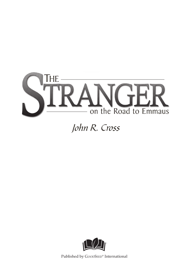

## John R. Cross



Published by GoodSeed**®** International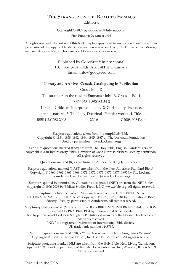#### **The Stranger on the Road to Emmaus** Edition 4

Copyright © 2009 by GoodSeed**®** International

First Printing: December 1996

All rights reserved. No portion of this book may be reproduced in any form without the written permission of the copyright holder. GoodSeed, www.goodseed.com, The Emmaus Road Message and logo design marks, are trademarks of GoodSEED INTERNATIONAL.

> Published by GoodSeed**®** International P.O. Box 3704, Olds, AB, T4H 1P5, Canada Email: info@goodseed.com

#### **Library and Archives Canada Cataloguing in Publication**

Cross, John R

The stranger on the road to Emmaus / John R. Cross. -- Ed. 4 ISBN 978-1-890082-54-3

1. Bible--Criticism, interpretation, etc. 2. Christianity--Essence,

genius, nature. 3. Theology, Doctrinal--Popular works. I. Title.

BS511.2.C763 2008 220.6 C2008-906436-4

Scripture quotations taken from the Amplified® Bible, Copyright © 1954, 1958, 1962, 1964, 1965, 1987 by The Lockman Foundation Used by permission. (www.Lockman.org)

Scripture quotations marked (ESV) are from The Holy Bible, English Standard Version, copyright © 2001 by Crossway Bibles, a division of Good News Publishers. Used by permission. All rights reserved.

Quotations marked (KJV) are from the Authorized King James Version.

Scripture quotations marked (NASB) are taken from the New American Standard Bible®, Copyright © 1960, 1962, 1963, 1968, 1971, 1972, 1973, 1975, 1977, 1995 by The Lockman Foundation Used by permission. (www.Lockman.org)

Scripture quoted by permission. Quotations designated (NET) are from the NET Bible® copyright © 1996-2006 by Biblical Studies Press, L.L.C. www.bible.org All rights reserved.

Scripture quotations marked (NIV) are taken from the HOLY BIBLE, NEW INTERNATIONAL VERSION®. NIV®. Copyright © 1973, 1978, 1984 by International Bible Society. Used by permission of Zondervan. All rights reserved.

Scripture quotations marked (NIV) are from the HOLY BIBLE, NEW INTERNATIONAL VERSION. Copyright © 1973, 1978, 1984 by International Bible Society.

Used by permission of Hodder & Stoughton Publishers, A member of the Hodder Headline Group. All rights reserved.

"NIV" is a registered trademark of International Bible Society. UK trademark number 1448790.

Scripture quotations marked "NKJV™" are taken from the New King James Version®. Copyright © 1982 by Thomas Nelson, Inc. Used by permission. All rights reserved.

Scripture quotations marked NLT are taken from the Holy Bible, New Living Translation, copyright 1996. Used by permission of Tyndale House Publishers, Inc., Wheaton, Illinois 60189. All rights reserved.

Printed in the USA 200901-084-15000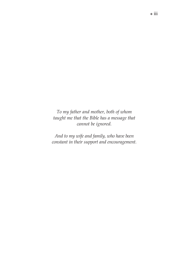*To my father and mother, both of whom taught me that the Bible has a message that cannot be ignored.*

*And to my wife and family, who have been constant in their support and encouragement.*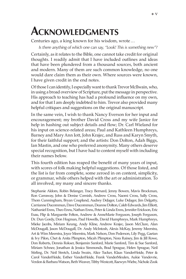## **Acknowledgments**

Centuries ago, a king known for his wisdom, wrote…

*Is there anything of which one can say, "Look! This is something new"?*

Certainly, as it relates to the Bible, one cannot take credit for original thoughts. I readily admit that I have included outlines and ideas that have been plundered from a thousand sources, both ancient and modern. Many of them are such common knowledge, no one would dare claim them as their own. Where sources were known, I have given credit in the end notes.

Of those I can identify, I especially want to thank Trevor McIlwain, who, in using a broad overview of Scripture, put the message in perspective. His approach to teaching has had a profound influence on my own, and for that I am deeply indebted to him. Trevor also provided many helpful critiques and suggestions on the original manuscript.

In the same vein, I wish to thank Nancy Everson for her input and encouragement; my brother David Cross and my wife Janice for help in hashing out subject details and flow; Dr. Carl Wieland for his input on science-related areas; Paul and Kathleen Humphreys, Barney and Mary Ann Iott, John Krajec, and Russ and Karyn Smyth, for their faithful support; and the artists: Don Dolton, Adah Biggs, Ian Mastin, and one who preferred anonymity. Many others deserve special recognition, but I have had to content myself with including their names below.

This fourth edition has reaped the benefit of many years of input, with scores of folk making helpful suggestions. Of those listed, and the list is far from complete, some zeroed in on content, simplicity, or grammar, while others helped with the art or administration. To all involved, my many and sincere thanks.

Stephanie Aldom, Robin Belanger, Tracy Bernard, Jenny Bowen, Mavis Brockman, Ron Carraway, John & Denise Cornish, Andrew Cross, Naomi Cross, Sally Cross, Thom Cunningham, Bryan Coupland, Audrey DeJager, Luke DeJager, Jim Delgatty, Carrianne Ducommun, Dave Ducommun, Deanne Dolton, Caleb Edwards, Jim Elliott, Nathaniel Enns, Theo Enns, Nathan Enns, Peter & Linda Enns, Jennifer Erickson, Eric Esau, Flip & Marguerite Felton, Andrew & AnneMarie Ferguson, Joseph Ferguson, Dr. Dun Gordy, Don Hogman, Paul Howells, David Humphreys, Mark Humphreys, Mieke Jacobs, Miriam Keung, Andy Kline, Andrew Krajec, Jason McClure, Alan McDougall, Jason McDougall, Dr. Andy McIntosh, Alexis McKay, Jeremy Meerstra, Art & Wim Meerstra, Joyce Meerstra, Mark Nelson, Don Pederson, Lily Pegg, Gaetan & Ivy Pilon, Chet & Anita Plimpton, Micah Plimpton, Nora Rainey, Jim & Jill Rowe, Don Roberts, Dennis Rokser, Benjamin Sanford, Marie Sanford, Tim & Sue Sanford, Miriam Schnee, Jonathan & Jessica Simmonds, Brad Sprague, Helen Sprague, Neil Stirling, Dr. Neil Stretch, Linda Swain, Alice Tucker, Klaas VanderHeide, Peter & Carol VanderHeide, Esther VanderHeide, Frank VanderMeulen, Aukie Vandevrie, Verdon & Barbara Watson, Beth Weaver, Tibby Westcott, Raewyn Wiebe, Nichole Zook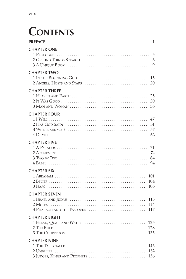# **Contents**

| <b>CHAPTER ONE</b>                                                    |
|-----------------------------------------------------------------------|
|                                                                       |
| <b>CHAPTER TWO</b><br>15<br>2 ANGELS, HOSTS AND STARS<br>20           |
| <b>CHAPTER THREE</b><br>25<br>30<br>36                                |
| <b>CHAPTER FOUR</b>                                                   |
| 47<br>51<br>57<br>62                                                  |
| <b>CHAPTER FIVE</b>                                                   |
| 71<br>74<br>84<br>94                                                  |
| <b>CHAPTER SIX</b>                                                    |
| 101<br>104<br>106                                                     |
| <b>CHAPTER SEVEN</b>                                                  |
| 113<br>114<br>3 PHARAOH AND THE PASSOVER<br>117                       |
| <b>CHAPTER FIGHT</b><br>1 BREAD, QUAIL AND WATER<br>125<br>128<br>135 |
| <b>CHAPTER NINE</b>                                                   |
| 143<br>3 JUDGES, KINGS AND PROPHETS<br>156                            |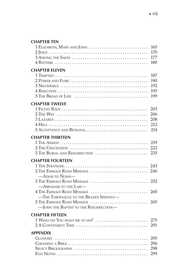### **Chapter Ten**

| 1 ELIZABETH, MARY AND JOHN                                                                            | 165<br>170<br>177<br>180        |
|-------------------------------------------------------------------------------------------------------|---------------------------------|
| <b>CHAPTER FLEVEN</b>                                                                                 |                                 |
|                                                                                                       | 187<br>190<br>192<br>195<br>199 |
| <b>CHAPTER TWELVE</b><br>5 ACCEPTANCE AND BETRAYAL                                                    | 203<br>206<br>208<br>212<br>214 |
| <b>CHAPTER THIRTEEN</b><br>3 THE BURIAL AND RESURRECTION  235                                         | 219<br>222                      |
| <b>CHAPTER FOURTEEN</b><br>—Арам то Noah—                                                             |                                 |
| —ABRAHAM TO THE LAW—                                                                                  |                                 |
| 4 THE EMMAUS ROAD MESSAGE<br>-THE TABERNACLE TO THE BRAZEN SERPENT-<br>5 THE EMMAUS ROAD MESSAGE      | 260<br>265                      |
| -JOHN THE BAPTIST TO THE RESURRECTION-<br><b>CHAPTER FIFTEEN</b><br>1 WHAT DO YOU WANT ME TO DO?  275 |                                 |
| <b>APPENDIX</b>                                                                                       | 296<br>298<br>299               |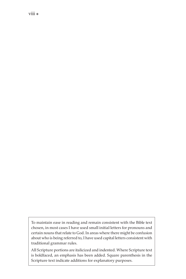To maintain ease in reading and remain consistent with the Bible text chosen, in most cases I have used small initial letters for pronouns and certain nouns that relate to God. In areas where there might be confusion about who is being referred to, I have used capital letters consistent with traditional grammar rules.

All Scripture portions are italicized and indented. Where Scripture text is boldfaced, an emphasis has been added. Square parenthesis in the Scripture text indicate additions for explanatory purposes.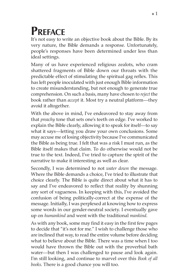# **Preface**

It's not easy to write an objective book about the Bible. By its very nature, the Bible demands a response. Unfortunately, people's responses have been determined under less than ideal settings.

Many of us have experienced religious zealots, who cram shattered fragments of Bible down our throats with the predictable effect of stimulating the spiritual gag reflex. This has left people inoculated with just enough Bible information to create misunderstanding, but not enough to generate true comprehension. On such a basis, many have chosen to *reject* the book rather than *accept* it. Most try a neutral platform—they avoid it altogether.

With the above in mind, I've endeavored to stay away from that *preachy* tone that sets one's teeth on edge. I've worked to explain the Bible clearly, allowing it to speak for itself—to say what it says—letting you draw your own conclusions. Some may accuse me of losing objectivity because I've communicated the Bible as being true. I felt that was a risk I must run, as the Bible itself makes that claim. To do otherwise would not be true to the text. Indeed, I've tried to capture the spirit of the narrative to make it interesting as well as clear.

Secondly, I was determined to not *water down* the message. Where the Bible demands a choice, I've tried to illustrate that choice clearly. The Bible is quite direct about what it has to say and I've endeavored to reflect that reality by shunning any sort of vagueness. In keeping with this, I've avoided the confusion of being politically-correct at the expense of the message. Initially, I was perplexed at knowing how to express some words in our gender-neutral society. I eventually gave up on *humankind* and went with the traditional *mankind*.

As with any book, some may find it easy in the first few pages to decide that "it's not for me." I wish to challenge those who are inclined that way, to read the entire volume before deciding what to believe about the Bible. There was a time when I too would have thrown the Bible out with the proverbial bath water—but then I was challenged to pause and look again. I'm still looking, and continue to marvel over this *Book of all books*. There is a good chance you will too.